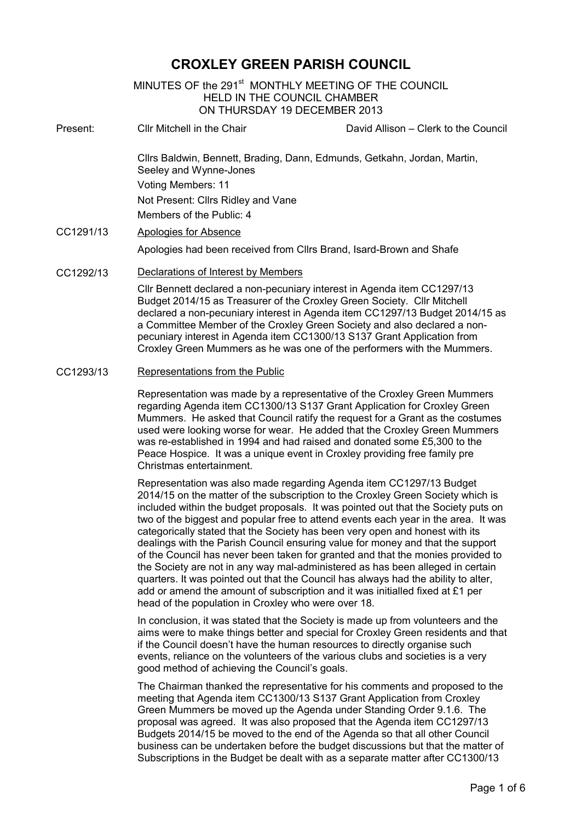# **CROXLEY GREEN PARISH COUNCIL**

MINUTES OF the 291<sup>st</sup> MONTHLY MEETING OF THE COUNCIL HELD IN THE COUNCIL CHAMBER ON THURSDAY 19 DECEMBER 2013

Present: Cllr Mitchell in the Chair David Allison – Clerk to the Council Cllrs Baldwin, Bennett, Brading, Dann, Edmunds, Getkahn, Jordan, Martin, Seeley and Wynne-Jones Voting Members: 11 Not Present: Cllrs Ridley and Vane Members of the Public: 4 CC1291/13 Apologies for Absence Apologies had been received from Cllrs Brand, Isard-Brown and Shafe

#### CC1292/13 Declarations of Interest by Members

Cllr Bennett declared a non-pecuniary interest in Agenda item CC1297/13 Budget 2014/15 as Treasurer of the Croxley Green Society. Cllr Mitchell declared a non-pecuniary interest in Agenda item CC1297/13 Budget 2014/15 as a Committee Member of the Croxley Green Society and also declared a nonpecuniary interest in Agenda item CC1300/13 S137 Grant Application from Croxley Green Mummers as he was one of the performers with the Mummers.

#### CC1293/13 Representations from the Public

Representation was made by a representative of the Croxley Green Mummers regarding Agenda item CC1300/13 S137 Grant Application for Croxley Green Mummers. He asked that Council ratify the request for a Grant as the costumes used were looking worse for wear. He added that the Croxley Green Mummers was re-established in 1994 and had raised and donated some £5,300 to the Peace Hospice. It was a unique event in Croxley providing free family pre Christmas entertainment.

Representation was also made regarding Agenda item CC1297/13 Budget 2014/15 on the matter of the subscription to the Croxley Green Society which is included within the budget proposals. It was pointed out that the Society puts on two of the biggest and popular free to attend events each year in the area. It was categorically stated that the Society has been very open and honest with its dealings with the Parish Council ensuring value for money and that the support of the Council has never been taken for granted and that the monies provided to the Society are not in any way mal-administered as has been alleged in certain quarters. It was pointed out that the Council has always had the ability to alter, add or amend the amount of subscription and it was initialled fixed at £1 per head of the population in Croxley who were over 18.

In conclusion, it was stated that the Society is made up from volunteers and the aims were to make things better and special for Croxley Green residents and that if the Council doesn't have the human resources to directly organise such events, reliance on the volunteers of the various clubs and societies is a very good method of achieving the Council's goals.

The Chairman thanked the representative for his comments and proposed to the meeting that Agenda item CC1300/13 S137 Grant Application from Croxley Green Mummers be moved up the Agenda under Standing Order 9.1.6. The proposal was agreed. It was also proposed that the Agenda item CC1297/13 Budgets 2014/15 be moved to the end of the Agenda so that all other Council business can be undertaken before the budget discussions but that the matter of Subscriptions in the Budget be dealt with as a separate matter after CC1300/13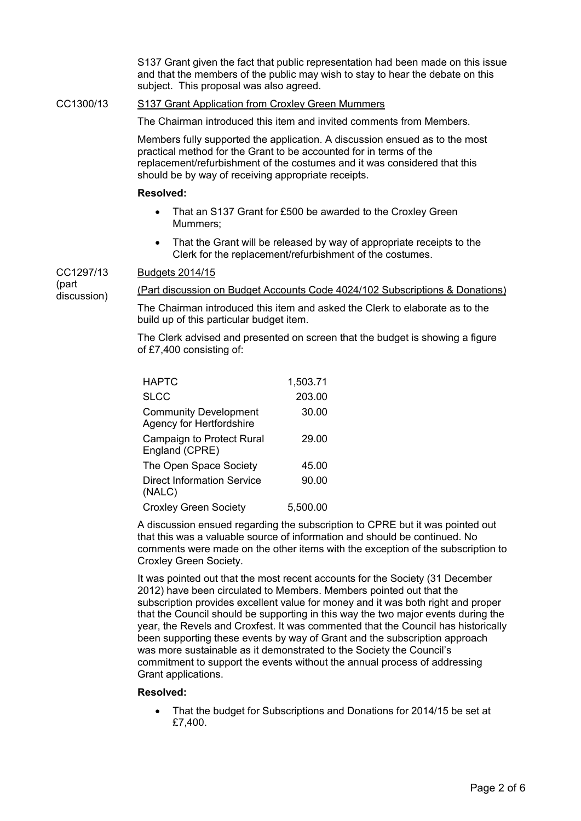S137 Grant given the fact that public representation had been made on this issue and that the members of the public may wish to stay to hear the debate on this subject. This proposal was also agreed.

## CC1300/13 S137 Grant Application from Croxley Green Mummers

The Chairman introduced this item and invited comments from Members.

Members fully supported the application. A discussion ensued as to the most practical method for the Grant to be accounted for in terms of the replacement/refurbishment of the costumes and it was considered that this should be by way of receiving appropriate receipts.

# **Resolved:**

- That an S137 Grant for £500 be awarded to the Croxley Green Mummers;
- That the Grant will be released by way of appropriate receipts to the Clerk for the replacement/refurbishment of the costumes.

CC1297/13 Budgets 2014/15

(part discussion)

(Part discussion on Budget Accounts Code 4024/102 Subscriptions & Donations)

The Chairman introduced this item and asked the Clerk to elaborate as to the build up of this particular budget item.

The Clerk advised and presented on screen that the budget is showing a figure of £7,400 consisting of:

| <b>HAPTC</b>                                             | 1,503.71 |
|----------------------------------------------------------|----------|
| <b>SLCC</b>                                              | 203.00   |
| <b>Community Development</b><br>Agency for Hertfordshire | 30.00    |
| <b>Campaign to Protect Rural</b><br>England (CPRE)       | 29.00    |
| The Open Space Society                                   | 45.00    |
| <b>Direct Information Service</b><br>(NALC)              | 90.00    |
| <b>Croxley Green Society</b>                             | 5.500.00 |

A discussion ensued regarding the subscription to CPRE but it was pointed out that this was a valuable source of information and should be continued. No comments were made on the other items with the exception of the subscription to Croxley Green Society.

It was pointed out that the most recent accounts for the Society (31 December 2012) have been circulated to Members. Members pointed out that the subscription provides excellent value for money and it was both right and proper that the Council should be supporting in this way the two major events during the year, the Revels and Croxfest. It was commented that the Council has historically been supporting these events by way of Grant and the subscription approach was more sustainable as it demonstrated to the Society the Council's commitment to support the events without the annual process of addressing Grant applications.

# **Resolved:**

• That the budget for Subscriptions and Donations for 2014/15 be set at £7,400.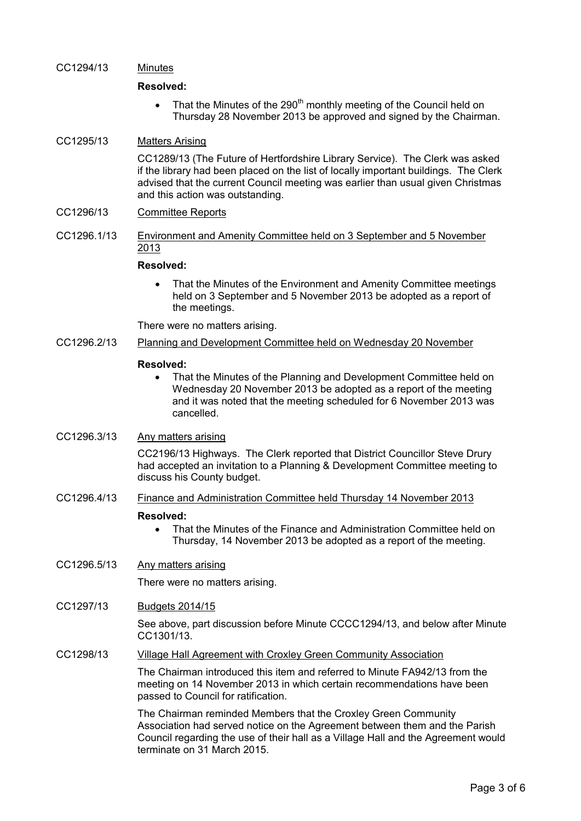### CC1294/13 Minutes

#### **Resolved:**

• That the Minutes of the 290<sup>th</sup> monthly meeting of the Council held on Thursday 28 November 2013 be approved and signed by the Chairman.

# CC1295/13 Matters Arising

CC1289/13 (The Future of Hertfordshire Library Service). The Clerk was asked if the library had been placed on the list of locally important buildings. The Clerk advised that the current Council meeting was earlier than usual given Christmas and this action was outstanding.

# CC1296/13 Committee Reports

CC1296.1/13 Environment and Amenity Committee held on 3 September and 5 November 2013

## **Resolved:**

• That the Minutes of the Environment and Amenity Committee meetings held on 3 September and 5 November 2013 be adopted as a report of the meetings.

There were no matters arising.

CC1296.2/13 Planning and Development Committee held on Wednesday 20 November

#### **Resolved:**

• That the Minutes of the Planning and Development Committee held on Wednesday 20 November 2013 be adopted as a report of the meeting and it was noted that the meeting scheduled for 6 November 2013 was cancelled.

# CC1296.3/13 Any matters arising

CC2196/13 Highways. The Clerk reported that District Councillor Steve Drury had accepted an invitation to a Planning & Development Committee meeting to discuss his County budget.

### CC1296.4/13 Finance and Administration Committee held Thursday 14 November 2013

#### **Resolved:**

• That the Minutes of the Finance and Administration Committee held on Thursday, 14 November 2013 be adopted as a report of the meeting.

# CC1296.5/13 Any matters arising

There were no matters arising.

## CC1297/13 Budgets 2014/15

See above, part discussion before Minute CCCC1294/13, and below after Minute CC1301/13.

## CC1298/13 Village Hall Agreement with Croxley Green Community Association

The Chairman introduced this item and referred to Minute FA942/13 from the meeting on 14 November 2013 in which certain recommendations have been passed to Council for ratification.

The Chairman reminded Members that the Croxley Green Community Association had served notice on the Agreement between them and the Parish Council regarding the use of their hall as a Village Hall and the Agreement would terminate on 31 March 2015.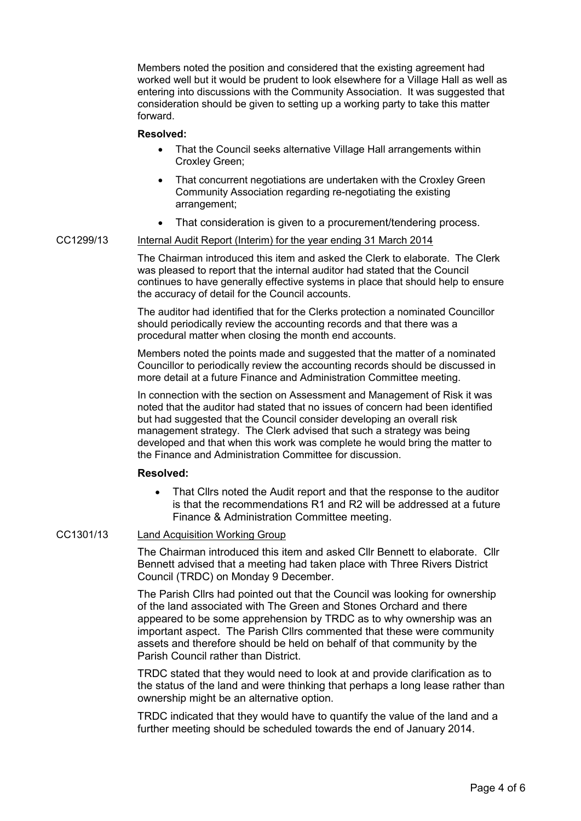Members noted the position and considered that the existing agreement had worked well but it would be prudent to look elsewhere for a Village Hall as well as entering into discussions with the Community Association. It was suggested that consideration should be given to setting up a working party to take this matter forward.

#### **Resolved:**

- That the Council seeks alternative Village Hall arrangements within Croxley Green;
- That concurrent negotiations are undertaken with the Croxley Green Community Association regarding re-negotiating the existing arrangement;
- That consideration is given to a procurement/tendering process.

### CC1299/13 Internal Audit Report (Interim) for the year ending 31 March 2014

The Chairman introduced this item and asked the Clerk to elaborate. The Clerk was pleased to report that the internal auditor had stated that the Council continues to have generally effective systems in place that should help to ensure the accuracy of detail for the Council accounts.

The auditor had identified that for the Clerks protection a nominated Councillor should periodically review the accounting records and that there was a procedural matter when closing the month end accounts.

Members noted the points made and suggested that the matter of a nominated Councillor to periodically review the accounting records should be discussed in more detail at a future Finance and Administration Committee meeting.

In connection with the section on Assessment and Management of Risk it was noted that the auditor had stated that no issues of concern had been identified but had suggested that the Council consider developing an overall risk management strategy. The Clerk advised that such a strategy was being developed and that when this work was complete he would bring the matter to the Finance and Administration Committee for discussion.

#### **Resolved:**

• That Cllrs noted the Audit report and that the response to the auditor is that the recommendations R1 and R2 will be addressed at a future Finance & Administration Committee meeting.

# CC1301/13 Land Acquisition Working Group

The Chairman introduced this item and asked Cllr Bennett to elaborate. Cllr Bennett advised that a meeting had taken place with Three Rivers District Council (TRDC) on Monday 9 December.

The Parish Cllrs had pointed out that the Council was looking for ownership of the land associated with The Green and Stones Orchard and there appeared to be some apprehension by TRDC as to why ownership was an important aspect. The Parish Cllrs commented that these were community assets and therefore should be held on behalf of that community by the Parish Council rather than District.

TRDC stated that they would need to look at and provide clarification as to the status of the land and were thinking that perhaps a long lease rather than ownership might be an alternative option.

TRDC indicated that they would have to quantify the value of the land and a further meeting should be scheduled towards the end of January 2014.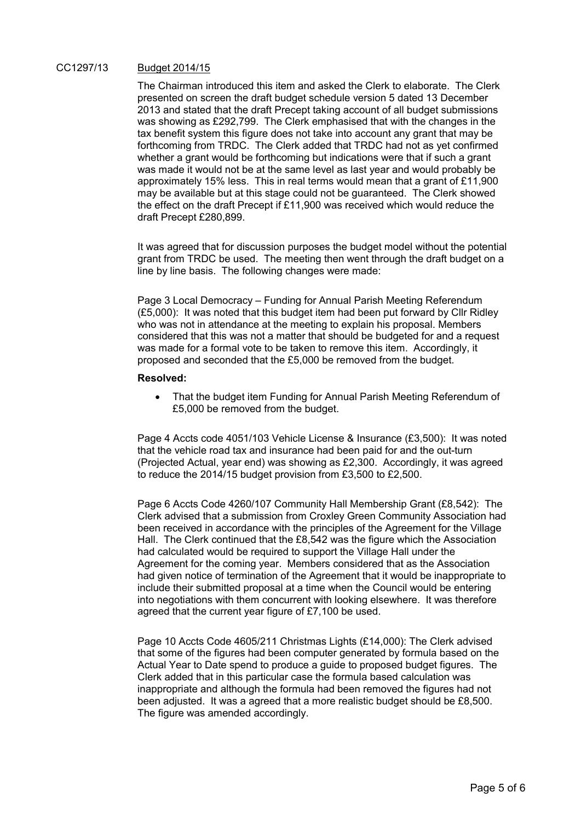### CC1297/13 Budget 2014/15

The Chairman introduced this item and asked the Clerk to elaborate. The Clerk presented on screen the draft budget schedule version 5 dated 13 December 2013 and stated that the draft Precept taking account of all budget submissions was showing as £292,799. The Clerk emphasised that with the changes in the tax benefit system this figure does not take into account any grant that may be forthcoming from TRDC. The Clerk added that TRDC had not as yet confirmed whether a grant would be forthcoming but indications were that if such a grant was made it would not be at the same level as last year and would probably be approximately 15% less. This in real terms would mean that a grant of £11,900 may be available but at this stage could not be guaranteed. The Clerk showed the effect on the draft Precept if £11,900 was received which would reduce the draft Precept £280,899.

It was agreed that for discussion purposes the budget model without the potential grant from TRDC be used. The meeting then went through the draft budget on a line by line basis. The following changes were made:

Page 3 Local Democracy – Funding for Annual Parish Meeting Referendum (£5,000): It was noted that this budget item had been put forward by Cllr Ridley who was not in attendance at the meeting to explain his proposal. Members considered that this was not a matter that should be budgeted for and a request was made for a formal vote to be taken to remove this item. Accordingly, it proposed and seconded that the £5,000 be removed from the budget.

#### **Resolved:**

• That the budget item Funding for Annual Parish Meeting Referendum of £5,000 be removed from the budget.

Page 4 Accts code 4051/103 Vehicle License & Insurance (£3,500): It was noted that the vehicle road tax and insurance had been paid for and the out-turn (Projected Actual, year end) was showing as £2,300. Accordingly, it was agreed to reduce the 2014/15 budget provision from £3,500 to £2,500.

Page 6 Accts Code 4260/107 Community Hall Membership Grant (£8,542): The Clerk advised that a submission from Croxley Green Community Association had been received in accordance with the principles of the Agreement for the Village Hall. The Clerk continued that the £8,542 was the figure which the Association had calculated would be required to support the Village Hall under the Agreement for the coming year. Members considered that as the Association had given notice of termination of the Agreement that it would be inappropriate to include their submitted proposal at a time when the Council would be entering into negotiations with them concurrent with looking elsewhere. It was therefore agreed that the current year figure of £7,100 be used.

Page 10 Accts Code 4605/211 Christmas Lights (£14,000): The Clerk advised that some of the figures had been computer generated by formula based on the Actual Year to Date spend to produce a guide to proposed budget figures. The Clerk added that in this particular case the formula based calculation was inappropriate and although the formula had been removed the figures had not been adjusted. It was a agreed that a more realistic budget should be £8,500. The figure was amended accordingly.